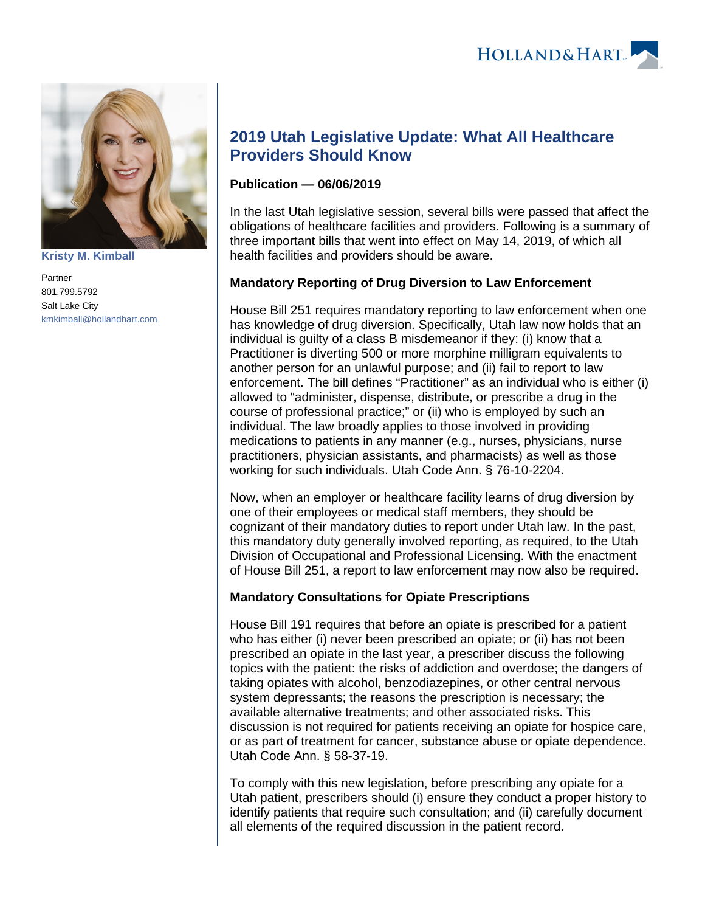



**[Kristy M. Kimball](https://www.hollandhart.com/35820)**

Partner 801.799.5792 Salt Lake City [kmkimball@hollandhart.com](mailto:kmkimball@hollandhart.com)

# **2019 Utah Legislative Update: What All Healthcare Providers Should Know**

#### **Publication — 06/06/2019**

In the last Utah legislative session, several bills were passed that affect the obligations of healthcare facilities and providers. Following is a summary of three important bills that went into effect on May 14, 2019, of which all health facilities and providers should be aware.

## **Mandatory Reporting of Drug Diversion to Law Enforcement**

House Bill 251 requires mandatory reporting to law enforcement when one has knowledge of drug diversion. Specifically, Utah law now holds that an individual is guilty of a class B misdemeanor if they: (i) know that a Practitioner is diverting 500 or more morphine milligram equivalents to another person for an unlawful purpose; and (ii) fail to report to law enforcement. The bill defines "Practitioner" as an individual who is either (i) allowed to "administer, dispense, distribute, or prescribe a drug in the course of professional practice;" or (ii) who is employed by such an individual. The law broadly applies to those involved in providing medications to patients in any manner (e.g., nurses, physicians, nurse practitioners, physician assistants, and pharmacists) as well as those working for such individuals. Utah Code Ann. § 76-10-2204.

Now, when an employer or healthcare facility learns of drug diversion by one of their employees or medical staff members, they should be cognizant of their mandatory duties to report under Utah law. In the past, this mandatory duty generally involved reporting, as required, to the Utah Division of Occupational and Professional Licensing. With the enactment of House Bill 251, a report to law enforcement may now also be required.

## **Mandatory Consultations for Opiate Prescriptions**

House Bill 191 requires that before an opiate is prescribed for a patient who has either (i) never been prescribed an opiate; or (ii) has not been prescribed an opiate in the last year, a prescriber discuss the following topics with the patient: the risks of addiction and overdose; the dangers of taking opiates with alcohol, benzodiazepines, or other central nervous system depressants; the reasons the prescription is necessary; the available alternative treatments; and other associated risks. This discussion is not required for patients receiving an opiate for hospice care, or as part of treatment for cancer, substance abuse or opiate dependence. Utah Code Ann. § 58-37-19.

To comply with this new legislation, before prescribing any opiate for a Utah patient, prescribers should (i) ensure they conduct a proper history to identify patients that require such consultation; and (ii) carefully document all elements of the required discussion in the patient record.